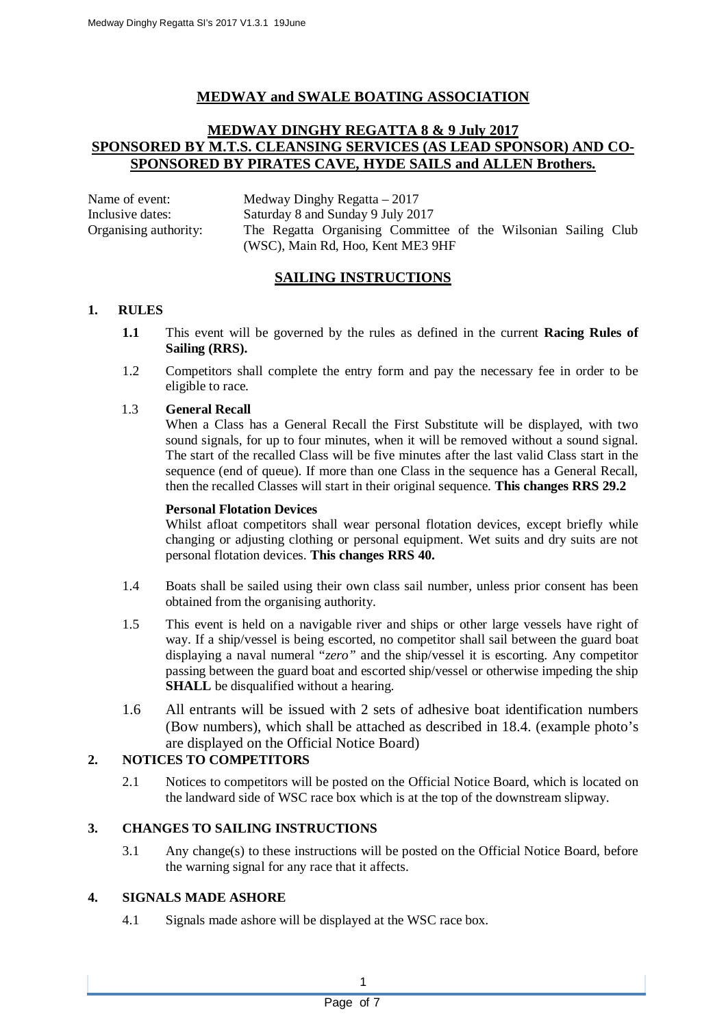## **MEDWAY and SWALE BOATING ASSOCIATION**

## **MEDWAY DINGHY REGATTA 8 & 9 July 2017 SPONSORED BY M.T.S. CLEANSING SERVICES (AS LEAD SPONSOR) AND CO-SPONSORED BY PIRATES CAVE, HYDE SAILS and ALLEN Brothers.**

Name of event: Medway Dinghy Regatta – 2017 Inclusive dates: Saturday 8 and Sunday 9 July 2017 Organising authority: The Regatta Organising Committee of the Wilsonian Sailing Club (WSC), Main Rd, Hoo, Kent ME3 9HF

## **SAILING INSTRUCTIONS**

## **1. RULES**

- **1.1** This event will be governed by the rules as defined in the current **Racing Rules of Sailing (RRS).**
- 1.2 Competitors shall complete the entry form and pay the necessary fee in order to be eligible to race.

## 1.3 **General Recall**

When a Class has a General Recall the First Substitute will be displayed, with two sound signals, for up to four minutes, when it will be removed without a sound signal. The start of the recalled Class will be five minutes after the last valid Class start in the sequence (end of queue). If more than one Class in the sequence has a General Recall, then the recalled Classes will start in their original sequence. **This changes RRS 29.2**

#### **Personal Flotation Devices**

Whilst afloat competitors shall wear personal flotation devices, except briefly while changing or adjusting clothing or personal equipment. Wet suits and dry suits are not personal flotation devices. **This changes RRS 40.**

- 1.4 Boats shall be sailed using their own class sail number, unless prior consent has been obtained from the organising authority.
- 1.5 This event is held on a navigable river and ships or other large vessels have right of way. If a ship/vessel is being escorted, no competitor shall sail between the guard boat displaying a naval numeral "*zero"* and the ship/vessel it is escorting. Any competitor passing between the guard boat and escorted ship/vessel or otherwise impeding the ship **SHALL** be disqualified without a hearing.
- 1.6 All entrants will be issued with 2 sets of adhesive boat identification numbers (Bow numbers), which shall be attached as described in 18.4. (example photo's are displayed on the Official Notice Board)

## **2. NOTICES TO COMPETITORS**

2.1 Notices to competitors will be posted on the Official Notice Board, which is located on the landward side of WSC race box which is at the top of the downstream slipway.

#### **3. CHANGES TO SAILING INSTRUCTIONS**

3.1 Any change(s) to these instructions will be posted on the Official Notice Board, before the warning signal for any race that it affects.

#### **4. SIGNALS MADE ASHORE**

4.1 Signals made ashore will be displayed at the WSC race box.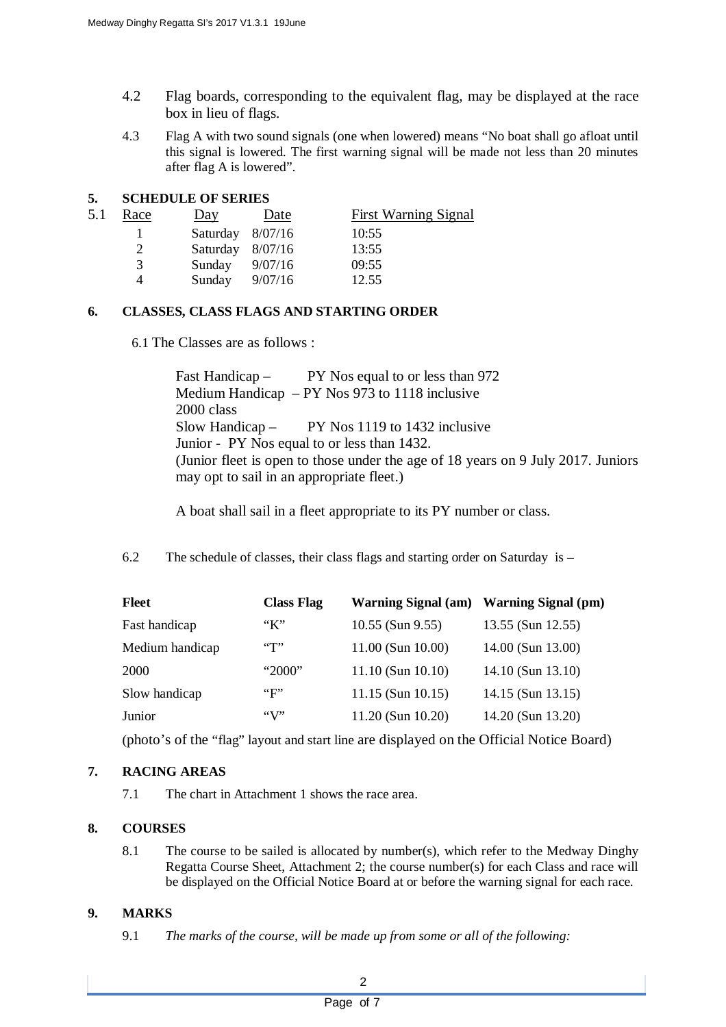- 4.2 Flag boards, corresponding to the equivalent flag, may be displayed at the race box in lieu of flags.
- 4.3 Flag A with two sound signals (one when lowered) means "No boat shall go afloat until this signal is lowered. The first warning signal will be made not less than 20 minutes after flag A is lowered".

## **5. SCHEDULE OF SERIES**

| 5.1 | Race | Day                | Date    | <b>First Warning Signal</b> |
|-----|------|--------------------|---------|-----------------------------|
|     |      | Saturday $8/07/16$ |         | 10:55                       |
|     |      | Saturday 8/07/16   |         | 13:55                       |
|     | 3    | Sunday             | 9/07/16 | 09:55                       |
|     |      | Sunday             | 9/07/16 | 12.55                       |

## **6. CLASSES, CLASS FLAGS AND STARTING ORDER**

6.1 The Classes are as follows :

Fast Handicap – PY Nos equal to or less than 972 Medium Handicap – PY Nos 973 to 1118 inclusive 2000 class Slow Handicap – PY Nos 1119 to 1432 inclusive Junior - PY Nos equal to or less than 1432. (Junior fleet is open to those under the age of 18 years on 9 July 2017. Juniors may opt to sail in an appropriate fleet.)

A boat shall sail in a fleet appropriate to its PY number or class.

6.2 The schedule of classes, their class flags and starting order on Saturday is –

| <b>Fleet</b>    | <b>Class Flag</b>  | Warning Signal (am) Warning Signal (pm) |                   |
|-----------------|--------------------|-----------------------------------------|-------------------|
| Fast handicap   | $K^{\prime\prime}$ | $10.55$ (Sun 9.55)                      | 13.55 (Sun 12.55) |
| Medium handicap |                    | $11.00$ (Sun $10.00$ )                  | 14.00 (Sun 13.00) |
| 2000            | "2000"             | $11.10$ (Sun $10.10$ )                  | 14.10 (Sun 13.10) |
| Slow handicap   | ``F"               | $11.15$ (Sun $10.15$ )                  | 14.15 (Sun 13.15) |
| Junior          |                    | $11.20$ (Sun $10.20$ )                  | 14.20 (Sun 13.20) |

(photo's of the "flag" layout and start line are displayed on the Official Notice Board)

## **7. RACING AREAS**

7.1 The chart in Attachment 1 shows the race area.

## **8. COURSES**

8.1 The course to be sailed is allocated by number(s), which refer to the Medway Dinghy Regatta Course Sheet, Attachment 2; the course number(s) for each Class and race will be displayed on the Official Notice Board at or before the warning signal for each race.

## **9. MARKS**

9.1 *The marks of the course, will be made up from some or all of the following:*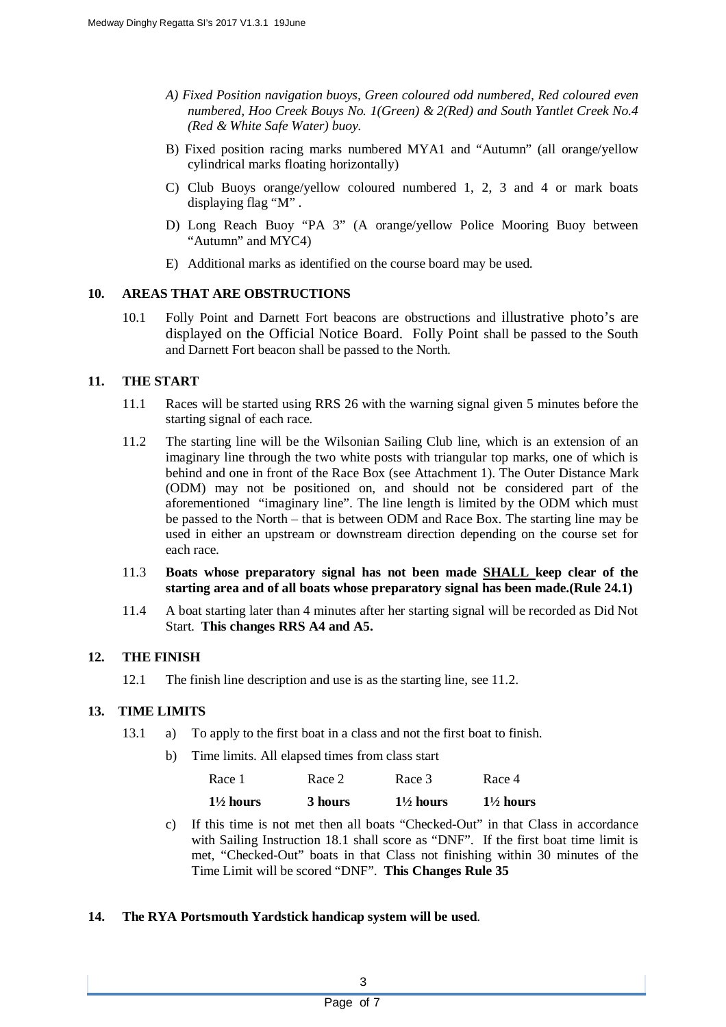- *A) Fixed Position navigation buoys, Green coloured odd numbered, Red coloured even numbered, Hoo Creek Bouys No. 1(Green) & 2(Red) and South Yantlet Creek No.4 (Red & White Safe Water) buoy.*
- B) Fixed position racing marks numbered MYA1 and "Autumn" (all orange/yellow cylindrical marks floating horizontally)
- C) Club Buoys orange/yellow coloured numbered 1, 2, 3 and 4 or mark boats displaying flag "M" .
- D) Long Reach Buoy "PA 3" (A orange/yellow Police Mooring Buoy between "Autumn" and MYC4)
- E) Additional marks as identified on the course board may be used.

#### **10. AREAS THAT ARE OBSTRUCTIONS**

10.1 Folly Point and Darnett Fort beacons are obstructions and illustrative photo's are displayed on the Official Notice Board. Folly Point shall be passed to the South and Darnett Fort beacon shall be passed to the North.

#### **11. THE START**

- 11.1 Races will be started using RRS 26 with the warning signal given 5 minutes before the starting signal of each race.
- 11.2 The starting line will be the Wilsonian Sailing Club line, which is an extension of an imaginary line through the two white posts with triangular top marks, one of which is behind and one in front of the Race Box (see Attachment 1). The Outer Distance Mark (ODM) may not be positioned on, and should not be considered part of the aforementioned "imaginary line". The line length is limited by the ODM which must be passed to the North – that is between ODM and Race Box. The starting line may be used in either an upstream or downstream direction depending on the course set for each race.
- 11.3 **Boats whose preparatory signal has not been made SHALL keep clear of the starting area and of all boats whose preparatory signal has been made.(Rule 24.1)**
- 11.4 A boat starting later than 4 minutes after her starting signal will be recorded as Did Not Start. **This changes RRS A4 and A5.**

#### **12. THE FINISH**

12.1 The finish line description and use is as the starting line, see 11.2.

#### **13. TIME LIMITS**

- 13.1 a) To apply to the first boat in a class and not the first boat to finish.
	- b) Time limits. All elapsed times from class start

| Race 1               | Race 2  | Race 3               | Race 4               |
|----------------------|---------|----------------------|----------------------|
| $1\frac{1}{2}$ hours | 3 hours | $1\frac{1}{2}$ hours | $1\frac{1}{2}$ hours |

- c) If this time is not met then all boats "Checked-Out" in that Class in accordance with Sailing Instruction 18.1 shall score as "DNF". If the first boat time limit is met, "Checked-Out" boats in that Class not finishing within 30 minutes of the Time Limit will be scored "DNF". **This Changes Rule 35**
- **14. The RYA Portsmouth Yardstick handicap system will be used**.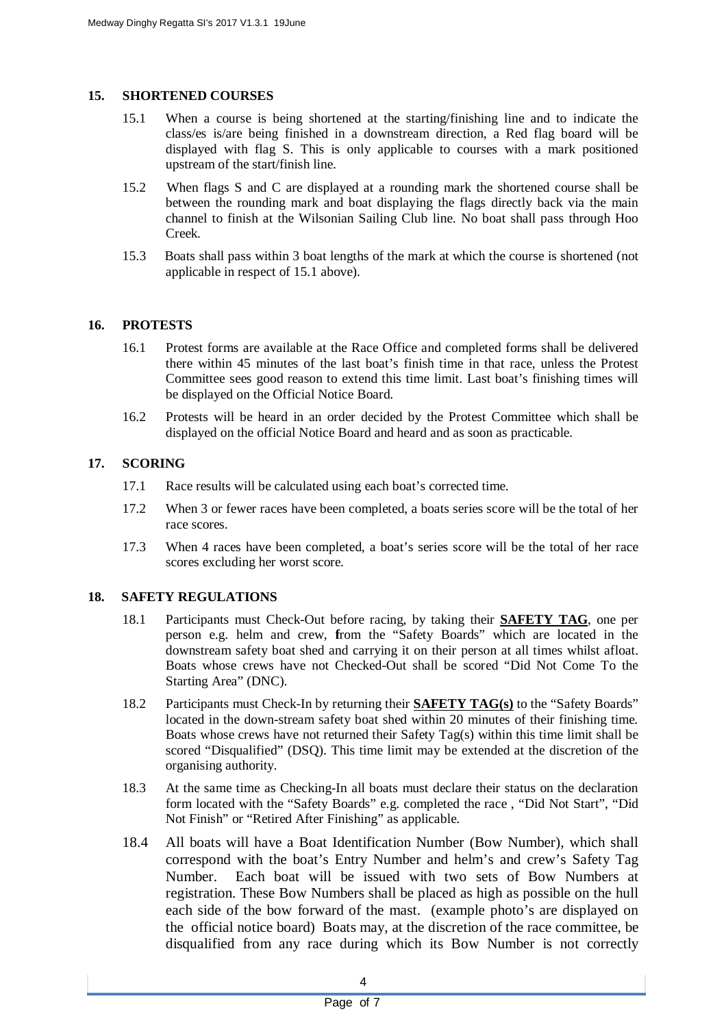#### **15. SHORTENED COURSES**

- 15.1 When a course is being shortened at the starting/finishing line and to indicate the class/es is/are being finished in a downstream direction, a Red flag board will be displayed with flag S. This is only applicable to courses with a mark positioned upstream of the start/finish line.
- 15.2 When flags S and C are displayed at a rounding mark the shortened course shall be between the rounding mark and boat displaying the flags directly back via the main channel to finish at the Wilsonian Sailing Club line. No boat shall pass through Hoo Creek.
- 15.3 Boats shall pass within 3 boat lengths of the mark at which the course is shortened (not applicable in respect of 15.1 above).

## **16. PROTESTS**

- 16.1 Protest forms are available at the Race Office and completed forms shall be delivered there within 45 minutes of the last boat's finish time in that race, unless the Protest Committee sees good reason to extend this time limit. Last boat's finishing times will be displayed on the Official Notice Board.
- 16.2 Protests will be heard in an order decided by the Protest Committee which shall be displayed on the official Notice Board and heard and as soon as practicable.

## **17. SCORING**

- 17.1 Race results will be calculated using each boat's corrected time.
- 17.2 When 3 or fewer races have been completed, a boats series score will be the total of her race scores.
- 17.3 When 4 races have been completed, a boat's series score will be the total of her race scores excluding her worst score.

## **18. SAFETY REGULATIONS**

- 18.1 Participants must Check-Out before racing, by taking their **SAFETY TAG**, one per person e.g. helm and crew, **f**rom the "Safety Boards" which are located in the downstream safety boat shed and carrying it on their person at all times whilst afloat. Boats whose crews have not Checked-Out shall be scored "Did Not Come To the Starting Area" (DNC).
- 18.2 Participants must Check-In by returning their **SAFETY TAG(s)** to the "Safety Boards" located in the down-stream safety boat shed within 20 minutes of their finishing time. Boats whose crews have not returned their Safety Tag(s) within this time limit shall be scored "Disqualified" (DSQ). This time limit may be extended at the discretion of the organising authority.
- 18.3 At the same time as Checking-In all boats must declare their status on the declaration form located with the "Safety Boards" e.g. completed the race , "Did Not Start", "Did Not Finish" or "Retired After Finishing" as applicable.
- 18.4 All boats will have a Boat Identification Number (Bow Number), which shall correspond with the boat's Entry Number and helm's and crew's Safety Tag Number. Each boat will be issued with two sets of Bow Numbers at registration. These Bow Numbers shall be placed as high as possible on the hull each side of the bow forward of the mast. (example photo's are displayed on the official notice board) Boats may, at the discretion of the race committee, be disqualified from any race during which its Bow Number is not correctly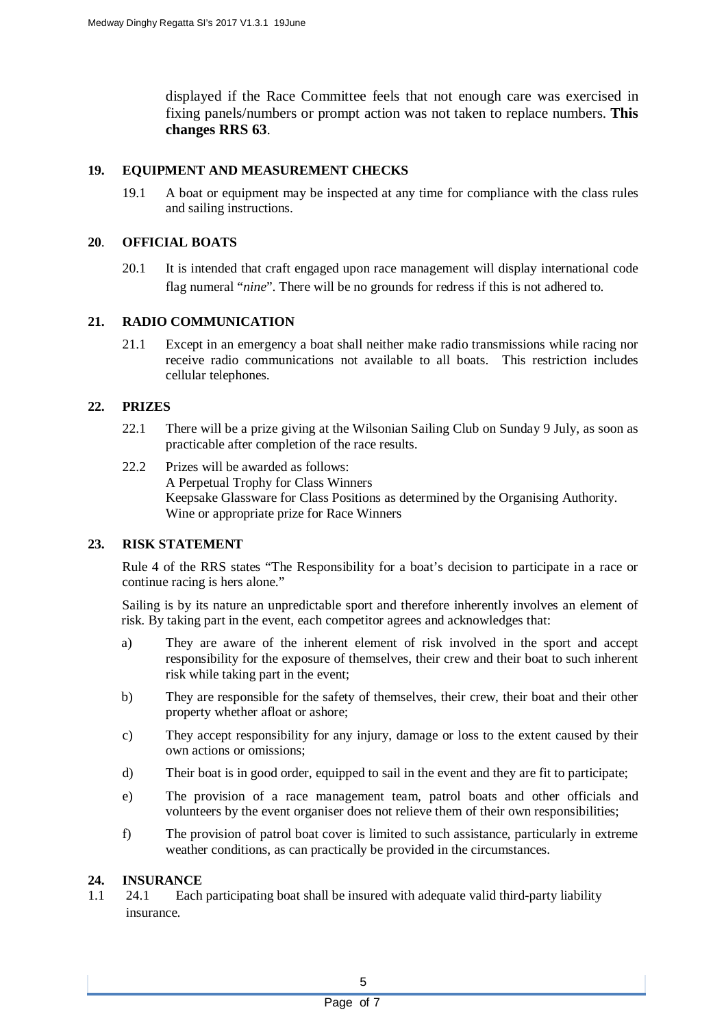displayed if the Race Committee feels that not enough care was exercised in fixing panels/numbers or prompt action was not taken to replace numbers. **This changes RRS 63**.

## **19. EQUIPMENT AND MEASUREMENT CHECKS**

19.1 A boat or equipment may be inspected at any time for compliance with the class rules and sailing instructions.

#### **20**. **OFFICIAL BOATS**

20.1 It is intended that craft engaged upon race management will display international code flag numeral "*nine*". There will be no grounds for redress if this is not adhered to.

## **21. RADIO COMMUNICATION**

21.1 Except in an emergency a boat shall neither make radio transmissions while racing nor receive radio communications not available to all boats. This restriction includes cellular telephones.

## **22. PRIZES**

- 22.1 There will be a prize giving at the Wilsonian Sailing Club on Sunday 9 July, as soon as practicable after completion of the race results.
- 22.2 Prizes will be awarded as follows: A Perpetual Trophy for Class Winners Keepsake Glassware for Class Positions as determined by the Organising Authority. Wine or appropriate prize for Race Winners

#### **23. RISK STATEMENT**

Rule 4 of the RRS states "The Responsibility for a boat's decision to participate in a race or continue racing is hers alone."

Sailing is by its nature an unpredictable sport and therefore inherently involves an element of risk. By taking part in the event, each competitor agrees and acknowledges that:

- a) They are aware of the inherent element of risk involved in the sport and accept responsibility for the exposure of themselves, their crew and their boat to such inherent risk while taking part in the event;
- b) They are responsible for the safety of themselves, their crew, their boat and their other property whether afloat or ashore;
- c) They accept responsibility for any injury, damage or loss to the extent caused by their own actions or omissions;
- d) Their boat is in good order, equipped to sail in the event and they are fit to participate;
- e) The provision of a race management team, patrol boats and other officials and volunteers by the event organiser does not relieve them of their own responsibilities;
- f) The provision of patrol boat cover is limited to such assistance, particularly in extreme weather conditions, as can practically be provided in the circumstances.

#### **24. INSURANCE**

1.1 24.1 Each participating boat shall be insured with adequate valid third-party liability insurance.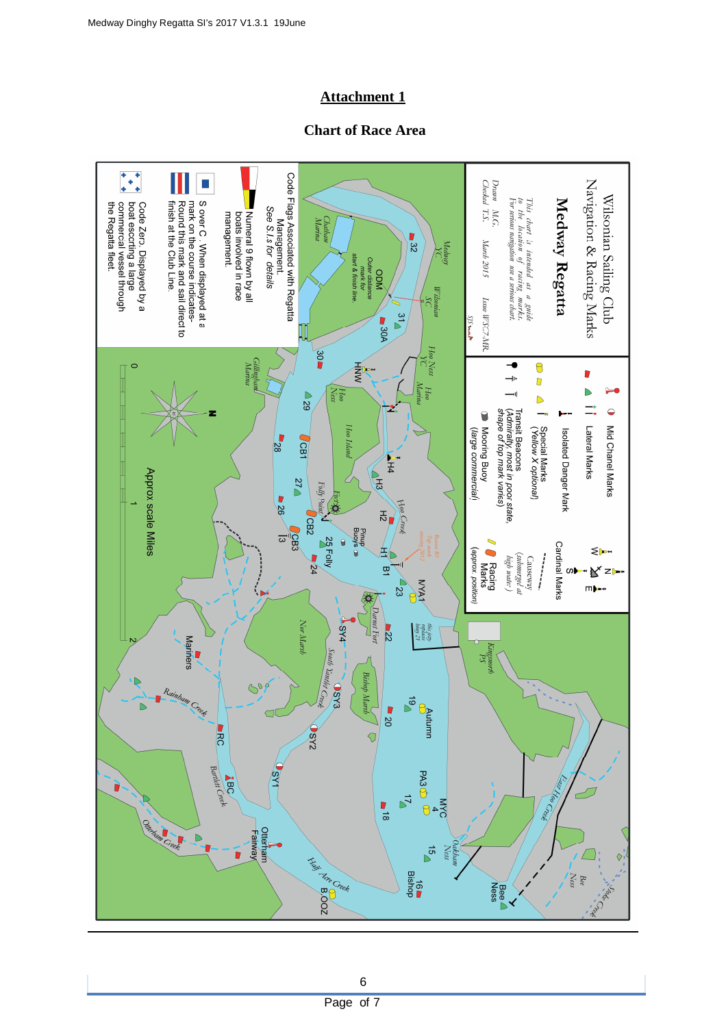## **Attachment 1**

## **Chart of Race Area**